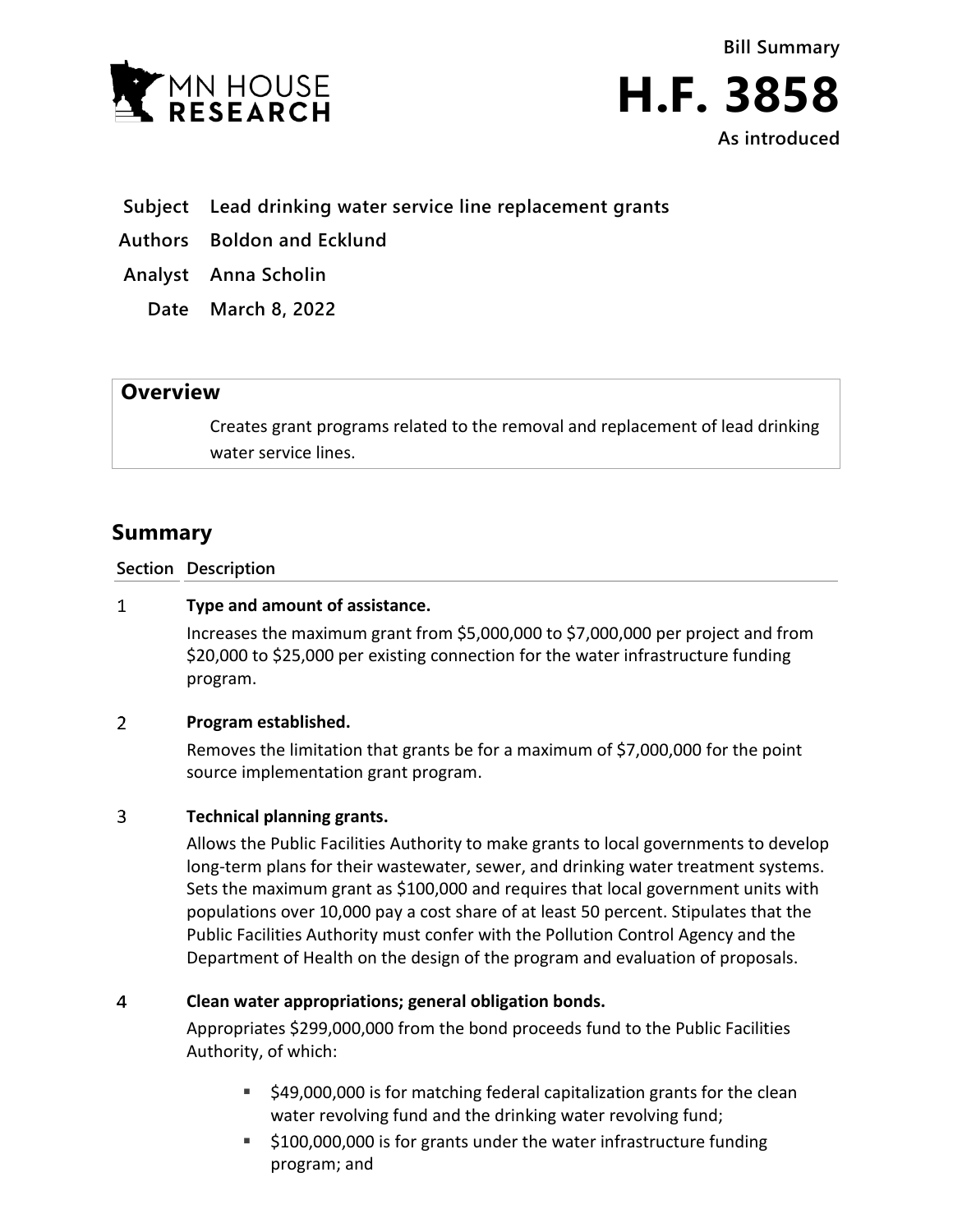



**As introduced**

- **Subject Lead drinking water service line replacement grants**
- **Authors Boldon and Ecklund**
- **Analyst Anna Scholin**
	- **Date March 8, 2022**

## **Overview**

Creates grant programs related to the removal and replacement of lead drinking water service lines.

# **Summary**

**Section Description**

#### $\mathbf{1}$ **Type and amount of assistance.**

Increases the maximum grant from \$5,000,000 to \$7,000,000 per project and from \$20,000 to \$25,000 per existing connection for the water infrastructure funding program.

#### $\overline{2}$ **Program established.**

Removes the limitation that grants be for a maximum of \$7,000,000 for the point source implementation grant program.

#### 3 **Technical planning grants.**

Allows the Public Facilities Authority to make grants to local governments to develop long-term plans for their wastewater, sewer, and drinking water treatment systems. Sets the maximum grant as \$100,000 and requires that local government units with populations over 10,000 pay a cost share of at least 50 percent. Stipulates that the Public Facilities Authority must confer with the Pollution Control Agency and the Department of Health on the design of the program and evaluation of proposals.

#### $\overline{4}$ **Clean water appropriations; general obligation bonds.**

Appropriates \$299,000,000 from the bond proceeds fund to the Public Facilities Authority, of which:

- \$49,000,000 is for matching federal capitalization grants for the clean water revolving fund and the drinking water revolving fund;
- \$100,000,000 is for grants under the water infrastructure funding program; and